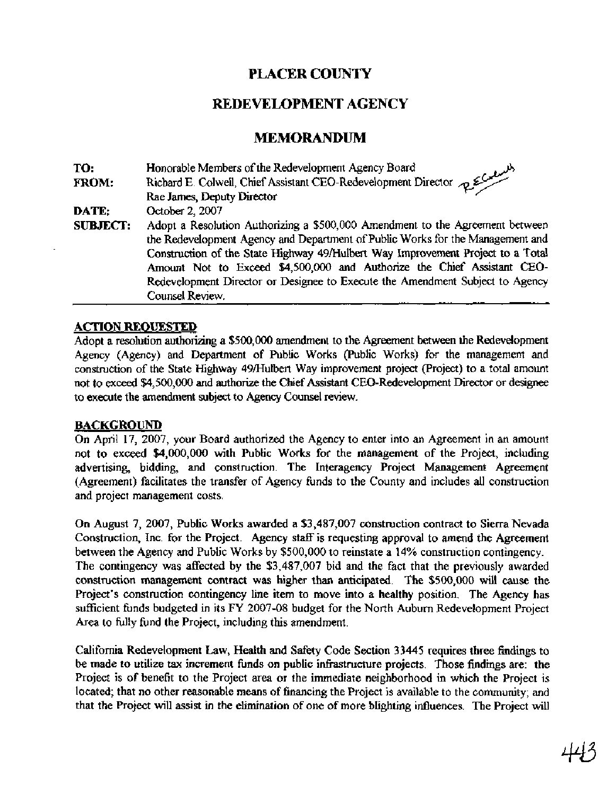## **PLACER COUNTY**

## **REDEVELOPMENT AGENCY**

### **MEMORANDUM**

**TO:** Honorable Members of the Redevelopment Agency Board **FROM:** Richard E. Colwell, Chief Assistant CEO-Redevelopment Director Rae James, Deputy Director **DATE:** October 2,2007 **SUBJECT:** Adopt a Resolution Authorizing a \$500,000 Amendment to the Agreement between the Redevelopment Agency and Department of Public Works for the Management and Construction of the State Highway 49Mulbert Way Improvement Project to a Total Amount Not to Exceed \$4,500,000 and Authorize the Chief Assistant CEO-Redevelopment Director or Designee to Execute the Amendment Subject to Agency Counsel Review.

#### **ACTION REOUESTED**

Adopt a resolution authorizing a \$500,000 amendment to the Agreement between the Redevelopment Agency (Agency) and Department of Public Works (Public Works) for the management and construction of the State Highway 49/Hulbert Way improvement project (Project) to a total amount not to exceed \$4,500,000 and authorize the Chief Assistant CEO-Redevelopment Director or designee to execute the amendment subject to Agency Counsel review.

#### **BACKGROUND**

On April 17, 2007, your Board authorized the Agency to enter into an Agreement in an amount not to exceed \$4,000,000 with Public Works for the management of the Project, including advertising, bidding, and construction. The Interagency Project Management Agreement (Agreement) facilitates the transfer of Agency hnds to the County and includes all construction and project management costs.

On August 7, 2007, Public Works awarded a \$3,487,007 construction contract to Sierra Nevada Construction, Inc. for the Project. Agency staff is requesting approval to amend the Agreement between the Agency and Public Works by \$500,000 to reinstate a 14% construction contingency. The contingency was affected by the \$3,487,007 bid and the fact that the previously awarded construction management contract was higher than anticipated. The \$500,000 will cause the Project's construction contingency line item to move into a healthy position. The Agency has sufficient funds budgeted in its FY 2007-08 budget for the North Auburn Redevelopment Project Area to fully fund the Project, including this amendment.

California Redevelopment Law, Health and Safety Code Section 33445 requires three findiigs to be made to utilize tax increment hnds on public infrastructure projects. Those findings are: the Project is of benefit to the Project area or the immediate neighborhood in which the Project is located; that no other reasonable means of financing the Project is available to the community; and that the Project will assist in the elimination of one of more blighting influences. The Project will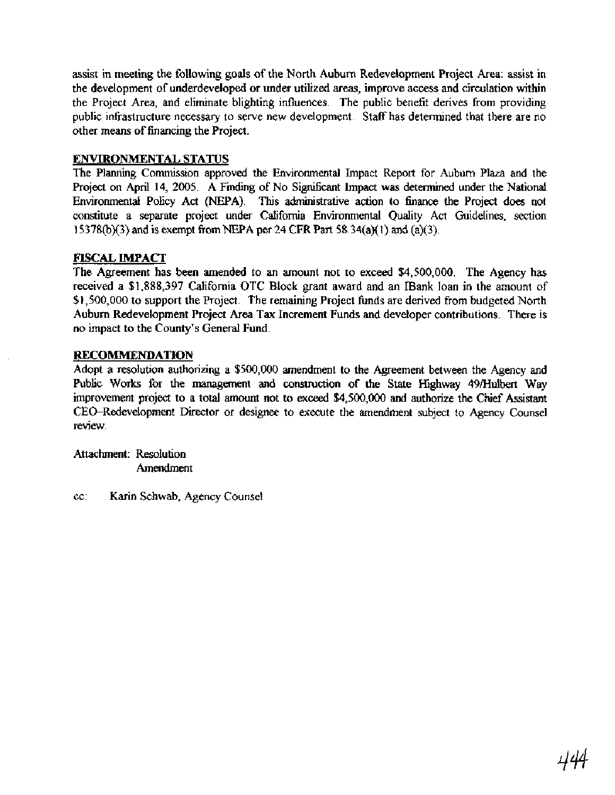assist in meeting the following goals of the North Auburn Redevelopment Project Area: assist in the development of underdeveloped or under utilized areas, improve access and circulation within the Project Area, and eliminate blighting influences. The public benefit derives from providing public infrastructure necessary to serve new development. Staff has determined that there are no other means of financing the Project.

#### **ENVIRONMENTAL STATUS**

The Planning Commission approved the Environmental Impact Report for Auburn Plaza and the Project on April 14, 2005. A Finding of No Significant Impact was determined under the National Environmental Policy Act (NEPA). This administrative action to finance the Project does not constitute a separate project under California Environmental Quality Act Guidelines, section 153780(3) and is exempt fiom NEPA per 24 **CFR** Part 58.34(a)(l) and (a)(3).

#### **FECAL IMPACT**

The Agreement has been amended to an amount not to exceed \$4,500,000. The Agency has received a \$1,888,397 California OTC Block grant award and an **Bank** loan in the amount of \$1,500,000 to support the Project. The remaining Project hnds are derived fiom budgeted North Auburn Redevelopment Project Area Tax Increment Funds and developer contributions. There is no impact to the County's General Fund.

#### **RECOMMENDATION**

Adopt a resolution authorizing a \$500,000 amendment to the Agreement between the Agency and Public Works for the management and construction of the State Highway 49/Hulbert Way improvement project to a total amount not to exceed \$4,500,000 and authorize the Chief Assistant CEO-Redevelopment Director or designee to execute the amendment subject to Agency Counsel review.

Attachment: Resolution Amendment

cc: Karin Schwab, Agency Counsel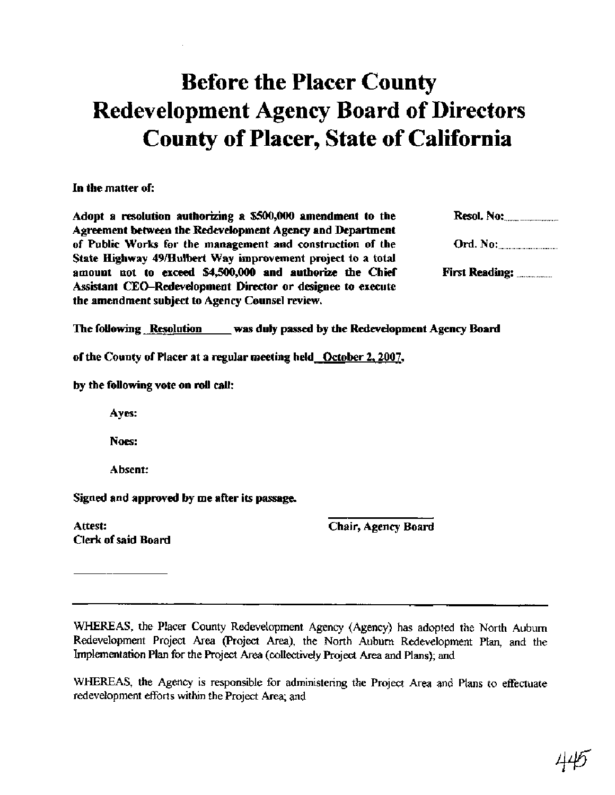# Before the Placer County Redevelopment Agency Board of Directors County of Placer, State of California

In the matter of:

Adopt a resolution authorizing a \$500,000 amendment to the Resol. No: Agreement between the Redevelopment Agency and Department of Public Works for the management and construction of the (3rd. No: ................................... State Highway 49/Hulbert Way improvement project to a total amount not to exceed **\$4,500,000** and authorize the Chief Fimt Reading: ..................... Assistant CEO-Redevelopment Director or designee to execute the amendment subject to Agency Counsel review.

The following Resolution was duly passed by the Redevelopment Agency Board

of the County of Placer at a regular meeting held October **2,2007,** 

by the following vote on **roll** call:

Ayes:

Noes:

Absent:

Signed and approved by me after its passage.

Attest: Clerk of said Board Chair, Agency Board

WHEREAS, the Placer County Redevelopment Agency (Agency) has adopted the North Auburn Redevelopment Project **Area** (Project **Area),** the North Auburn Redevelopment Plan, and the Implementation Plan for the Project Area (collectively Project Area and Plans); and

WHEREAS, the Agency is responsible for administering the Project Area and Plans to effectuate redevelopment efforts within the Project Area; and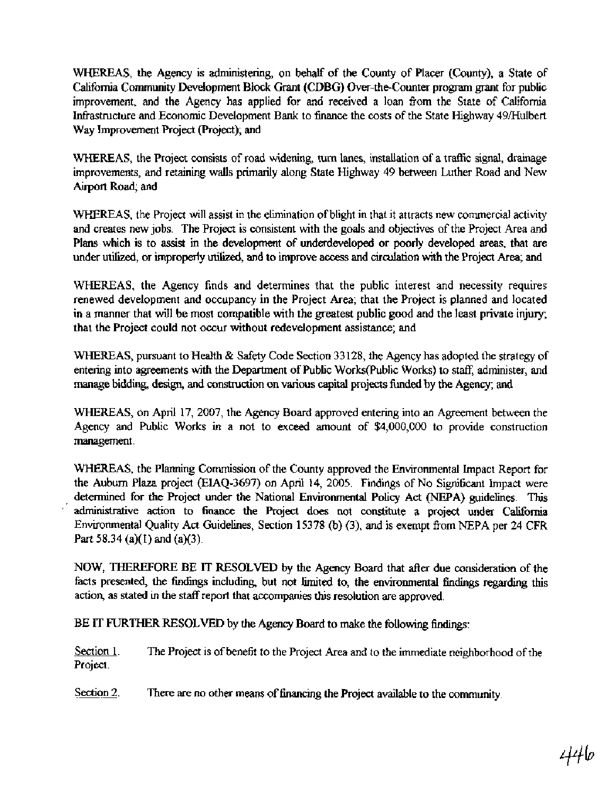WHEREAS, the Agency is administering, on behalf of the County of Placer (County), a State of California Community Development Block Grant (CDBG) Over-the-counter program grant for public improvement, and the Agency has applied for and received a loan fiom the State of California Infrastructure and Economic Development Bank to finance the costs of the State Highway 49/Hulbert Way Improvement Project (Project); and

WHEREAS, the Project consists of road widening, turn lanes, installation of a traffic signal, drainage improvements, and retaining walls primarily along State Highway 49 between Luther Road and New Airport Road; and

WHEREAS, the Project will assist in the elimination of blight in that it attracts new commercial activity and creates new jobs. The Project is consistent with the goals and objectives of the Project Area and Plans which is to assist in the development of underdeveloped or poorly developed **areas,** that are under utilized, or improperly utilized, and to improve access and circulation with the Project Area; and

WHEREAS, the Agency finds and determines that the public interest and necessity requires renewed development and occupancy in the Project Area; that the Project is planned and located in a manner that will be most compatible with the greatest public good and the least private injury; that the Project could not occur without redevelopment assistance; and

WHEREAS, pursuant to Health & Safety Code Section 33128, the Agency has adopted the strategy of entering into agreements with the Department of Public Works(Public Works) to staff, administer, and manage bidding, design, and construction on various capital projects funded by the Agency; and

WHEREAS, on April 17,2007, the Agency Board approved entering into an Agreement between the Agency and Public Works in a not to exceed amount of \$4,000,000 to provide construction management.

WHEREAS, the Planning Commission of the County approved the Environmental Impact Report for the Auburn Plaza project (EIAQ-3697) on April 14, 2005. Findings of No Sigmficant Impact were determined for the Project under the National Environmental Policy Act (NEPA) guidelines. This ' administrative action to **finance** the Project does not constitute a project under California Environmental Quality Act Guidelines, Section 15378 @) (3), and is exempt fiom NEPA per 24 CFR **Part** 58.34 (a)(l) and (a)(3).

NOW, THEREFORE BE IT RESOLVED by the Agency Board that after due consideration of the facts presented, the findings including, but not limited to, the environmental findings regarding this action, as stated in the staff report that accompanies this resolution are approved.

BE IT FURTHER RESOLVED by the Agency Board to make the following findings:

Section 1. The Project is of benefit to the Project Area and to the immediate neighborhood of the Project.

Section  $2$ . There are no other means of financing the Project available to the community.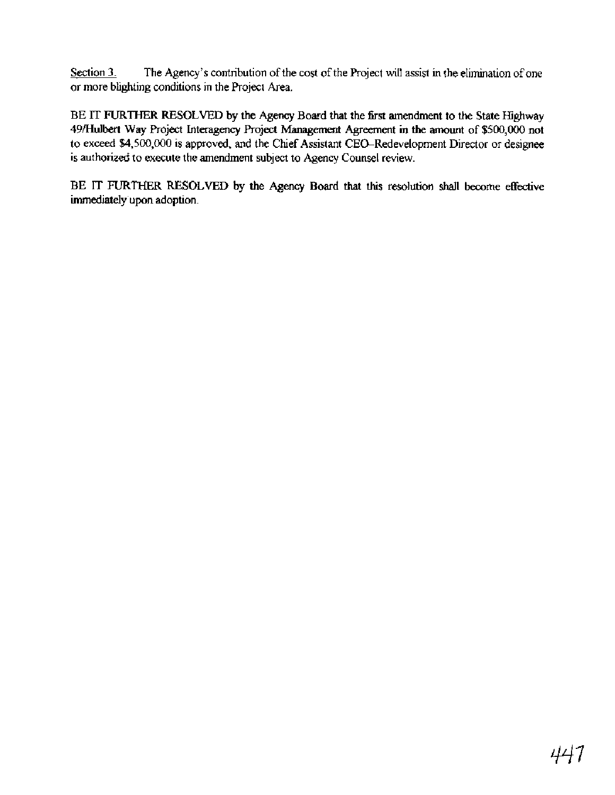Section 3. The Agency's contribution of the cost of the Project will assist in the elimination of one or more blighting conditions in the Project Area.

**BE IT FURTHER RESOLVED** by the Agency Board that the **fist** amendment to the State Highway **49/Hulbert** Way Project Interagency Project Management **Agreement** in the amount of \$500,000 not to exceed \$4,500,000 is approved, and the Chief Assistant CEO-Redevelopment Director or designee is authorized to execute the amendment subject to Agency Counsel review.

**BE IT FURTHER RESOLVED** by the Agency Board **that** this resolution **shall** become effective imrnediately'upon adoption.